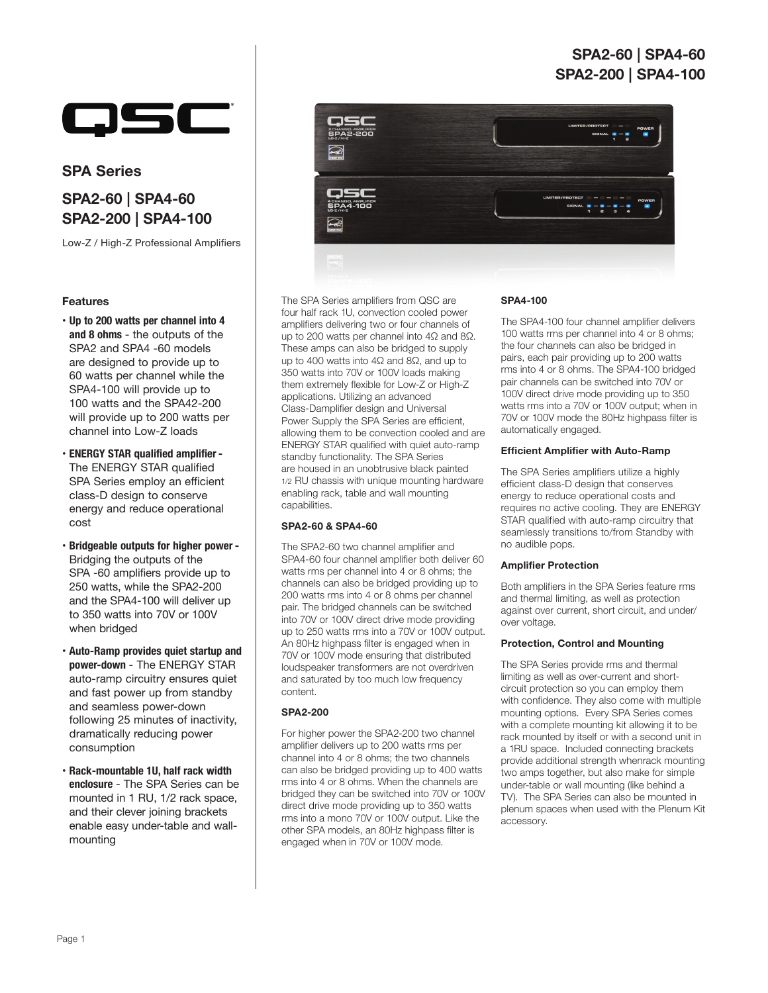# **SPA2-60** | **SPA4-60 SPA2-200 | SPA4-100**



# **SPA Series**

# **SPA2-60** | **SPA4-60 SPA2-200 | SPA4-100**

Low-Z / High-Z Professional Amplifiers

# **Features**

- **Up to 200 watts per channel into 4 and 8 ohms** - the outputs of the SPA2 and SPA4 -60 models are designed to provide up to 60 watts per channel while the SPA4-100 will provide up to 100 watts and the SPA42-200 will provide up to 200 watts per channel into Low-Z loads
- • **ENERGY STAR qualified amplifier -** The ENERGY STAR qualified SPA Series employ an efficient class-D design to conserve energy and reduce operational cost
- • **Bridgeable outputs for higher power**  Bridging the outputs of the SPA -60 amplifiers provide up to 250 watts, while the SPA2-200 and the SPA4-100 will deliver up to 350 watts into 70V or 100V when bridged
- **Auto-Ramp provides quiet startup and power-down** - The ENERGY STAR auto-ramp circuitry ensures quiet and fast power up from standby and seamless power-down following 25 minutes of inactivity, dramatically reducing power consumption
- **Rack-mountable 1U, half rack width enclosure** - The SPA Series can be mounted in 1 RU, 1/2 rack space, and their clever joining brackets enable easy under-table and wallmounting



The SPA Series amplifiers from QSC are four half rack 1U, convection cooled power amplifiers delivering two or four channels of up to 200 watts per channel into 4Ω and 8Ω. These amps can also be bridged to supply up to 400 watts into 4Ω and 8Ω, and up to 350 watts into 70V or 100V loads making them extremely flexible for Low-Z or High-Z applications. Utilizing an advanced Class-Damplifier design and Universal Power Supply the SPA Series are efficient, allowing them to be convection cooled and are ENERGY STAR qualified with quiet auto-ramp standby functionality. The SPA Series are housed in an unobtrusive black painted 1/2 RU chassis with unique mounting hardware enabling rack, table and wall mounting capabilities.

## **SPA2-60 & SPA4-60**

The SPA2-60 two channel amplifier and SPA4-60 four channel amplifier both deliver 60 watts rms per channel into 4 or 8 ohms; the channels can also be bridged providing up to 200 watts rms into 4 or 8 ohms per channel pair. The bridged channels can be switched into 70V or 100V direct drive mode providing up to 250 watts rms into a 70V or 100V output. An 80Hz highpass filter is engaged when in 70V or 100V mode ensuring that distributed loudspeaker transformers are not overdriven and saturated by too much low frequency content.

# **SPA2-200**

For higher power the SPA2-200 two channel amplifier delivers up to 200 watts rms per channel into 4 or 8 ohms; the two channels can also be bridged providing up to 400 watts rms into 4 or 8 ohms. When the channels are bridged they can be switched into 70V or 100V direct drive mode providing up to 350 watts rms into a mono 70V or 100V output. Like the other SPA models, an 80Hz highpass filter is engaged when in 70V or 100V mode.

#### **SPA4-100**

The SPA4-100 four channel amplifier delivers 100 watts rms per channel into 4 or 8 ohms; the four channels can also be bridged in pairs, each pair providing up to 200 watts rms into 4 or 8 ohms. The SPA4-100 bridged pair channels can be switched into 70V or 100V direct drive mode providing up to 350 watts rms into a 70V or 100V output; when in 70V or 100V mode the 80Hz highpass filter is automatically engaged.

## **Efficient Amplifier with Auto-Ramp**

The SPA Series amplifiers utilize a highly efficient class-D design that conserves energy to reduce operational costs and requires no active cooling. They are ENERGY STAR qualified with auto-ramp circuitry that seamlessly transitions to/from Standby with no audible pops.

## **Amplifier Protection**

Both amplifiers in the SPA Series feature rms and thermal limiting, as well as protection against over current, short circuit, and under/ over voltage.

### **Protection, Control and Mounting**

The SPA Series provide rms and thermal limiting as well as over-current and shortcircuit protection so you can employ them with confidence. They also come with multiple mounting options. Every SPA Series comes with a complete mounting kit allowing it to be rack mounted by itself or with a second unit in a 1RU space. Included connecting brackets provide additional strength whenrack mounting two amps together, but also make for simple under-table or wall mounting (like behind a TV). The SPA Series can also be mounted in plenum spaces when used with the Plenum Kit accessory.